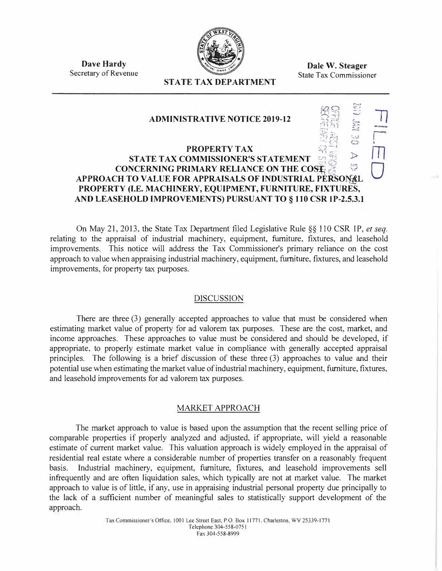

**Dale W. Steager**  State Tax Commissioner

**Dave Hardy**  Secretary of Revenue

# **STATE TAX DEPARTMENT**

#### $\sum_{i=1}^{n}$  $\mathbb{R}$   $\cong$ **ADMINISTRATIVE NOTICE 2019-12**  $\mathbb{Z}^{H}$  :: � ا<br>أ :) *ti �t*  **PROPERTY TAX STATE TAX COMMISSIONER'S STATEMENT**  $\frac{1}{2}$ **CONCERNING PRIMARY RELIANCE ON THE COSE**  $\geq$ **APPROACH TO VALUE FOR APPRAISALS OF INDUSTRIAL PERSO�� PROPERTY (I.E. MACHINERY, EQUIPMENT, FURNITURE, FIXTURES, AND LEASEHOLD IMPROVEMENTS) PURSUANT TO § 110 CSR lP-2.5.3.1 ll r m**   $\bigcup$

On May 21, 2013, the State Tax Department filed Legislative Rule *§§* 110 CSR 1P, *et seq.* relating to the appraisal of industrial machinery, equipment, furniture, fixtures, and leasehold improvements. This notice will address the Tax Commissioner's primary reliance on the cost approach to value when appraising industrial machinery, equipment, furniture, fixtures, and leasehold improvements, for property tax purposes.

## DISCUSSION

There are three (3) generally accepted approaches to value that must be considered when estimating market value of property for ad valorem tax purposes. These are the cost, market, and income approaches. These approaches to value must be considered and should be developed, if appropriate, to properly estimate market value in compliance with generally accepted appraisal principles. The following is a brief discussion of these three (3) approaches to value and their potential use when estimating the market value of industrial machinery, equipment, furniture, fixtures, and leasehold improvements for ad valorem tax purposes.

## MARKET APPROACH

The market approach to value is based upon the assumption that the recent selling price of comparable properties if properly analyzed and adjusted. if appropriate, will yield a reasonable estimate of current market value. This valuation approach is widely employed in the appraisal of residential real estate where a considerable number of properties transfer on a reasonably frequent basis. Industrial machinery, equipment, furniture, fixtures, and leasehold improvements sell infrequently and are often liquidation sales, which typically are not at market value. The market approach to value is of little, if any, use in appraising industrial personal property due principally to the lack of a sufficient number of meaningful sales to statistically support development of the approach.

> Tax Commissioner's Office, 1001 Lee Street East, P.O. Box 11771, Charleston, WV 25339-1771 Telephone 304-558-0751 Fax 304-558-8999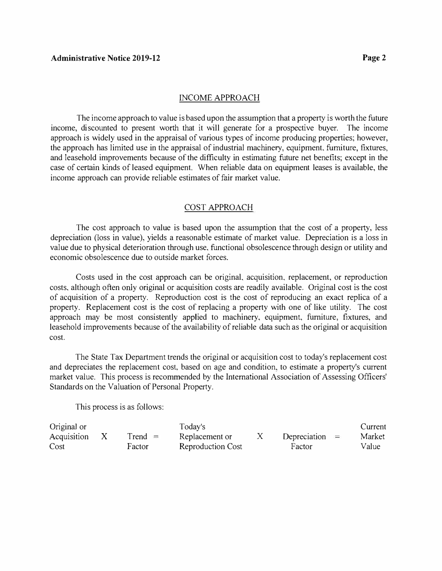### INCOME APPROACH

The income approach to value is based upon the assumption that a property is worth the future income, discounted to present worth that it will generate for a prospective buyer. The income approach is widely used in the appraisal of various types of income producing properties; however, the approach has limited use in the appraisal of industrial machinery, equipment, furniture, fixtures, and leasehold improvements because of the difficulty in estimating future net benefits; except in the case of certain kinds of leased equipment. When reliable data on equipment leases is available, the income approach can provide reliable estimates of fair market value.

#### COST APPROACH

The cost approach to value is based upon the assumption that the cost of a property, less depreciation (loss in value), yields a reasonable estimate of market value. Depreciation is a loss in value due to physical deterioration through use, functional obsolescence through design or utility and economic obsolescence due to outside market forces.

Costs used in the cost approach can be original, acquisition, replacement, or reproduction costs, although often *only* original or acquisition costs are readily available. Original cost is the cost of acquisition of a property. Reproduction cost is the cost of reproducing an exact replica of a property. Replacement cost is the cost of replacing a property with one of like utility. The cost approach may be most consistently applied to machinery, equipment, furniture, fixtures, and leasehold improvements because of the availability of reliable data such as the original or acquisition cost.

The State Tax Department trends the original or acquisition cost to today's replacement cost and depreciates the replacement cost, based on age and condition, to estimate a property's current market value. This process is recommended by the International Association of Assessing Officers' Standards on the Valuation of Personal Property.

This process is as follows:

| Original or |           | Today's                  |                  | Current |
|-------------|-----------|--------------------------|------------------|---------|
| Acquisition | $Trend =$ | Replacement or           | Depreciation $=$ | Market  |
| Cost        | Factor    | <b>Reproduction Cost</b> | Factor           | Value   |